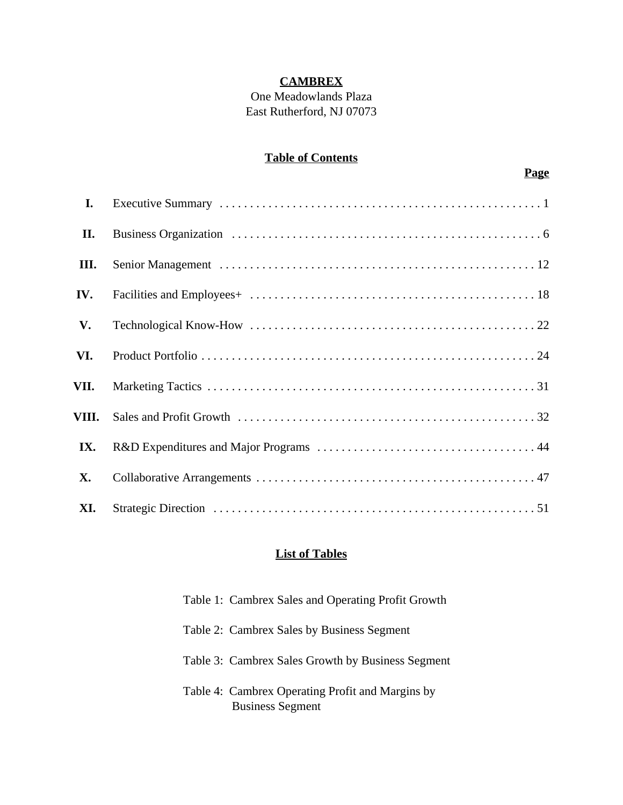## **CAMBREX**

One Meadowlands Plaza East Rutherford, NJ 07073

## **Table of Contents**

| I.        |  |
|-----------|--|
| П.        |  |
| III.      |  |
| IV.       |  |
| V.        |  |
| VI.       |  |
| VII.      |  |
| VIII.     |  |
| IX.       |  |
| <b>X.</b> |  |
| XI.       |  |

## **List of Tables**

| Table 1: Cambrex Sales and Operating Profit Growth                          |
|-----------------------------------------------------------------------------|
| Table 2: Cambrex Sales by Business Segment                                  |
| Table 3: Cambrex Sales Growth by Business Segment                           |
| Table 4: Cambrex Operating Profit and Margins by<br><b>Business Segment</b> |